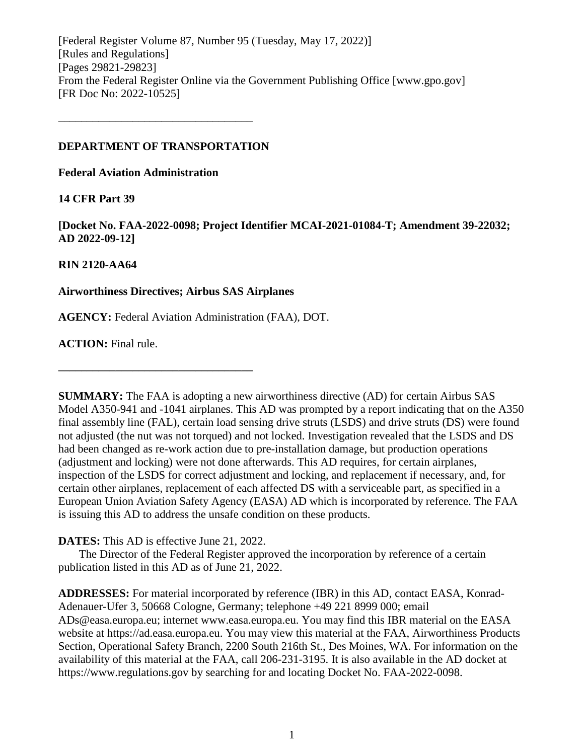[Federal Register Volume 87, Number 95 (Tuesday, May 17, 2022)] [Rules and Regulations] [Pages 29821-29823] From the Federal Register Online via the Government Publishing Office [www.gpo.gov] [FR Doc No: 2022-10525]

### **DEPARTMENT OF TRANSPORTATION**

**––––––––––––––––––––––––––––––––––**

**Federal Aviation Administration**

# **14 CFR Part 39**

**[Docket No. FAA-2022-0098; Project Identifier MCAI-2021-01084-T; Amendment 39-22032; AD 2022-09-12]**

# **RIN 2120-AA64**

# **Airworthiness Directives; Airbus SAS Airplanes**

**––––––––––––––––––––––––––––––––––**

**AGENCY:** Federal Aviation Administration (FAA), DOT.

**ACTION:** Final rule.

**SUMMARY:** The FAA is adopting a new airworthiness directive (AD) for certain Airbus SAS Model A350-941 and -1041 airplanes. This AD was prompted by a report indicating that on the A350 final assembly line (FAL), certain load sensing drive struts (LSDS) and drive struts (DS) were found not adjusted (the nut was not torqued) and not locked. Investigation revealed that the LSDS and DS had been changed as re-work action due to pre-installation damage, but production operations (adjustment and locking) were not done afterwards. This AD requires, for certain airplanes, inspection of the LSDS for correct adjustment and locking, and replacement if necessary, and, for certain other airplanes, replacement of each affected DS with a serviceable part, as specified in a European Union Aviation Safety Agency (EASA) AD which is incorporated by reference. The FAA is issuing this AD to address the unsafe condition on these products.

**DATES:** This AD is effective June 21, 2022.

The Director of the Federal Register approved the incorporation by reference of a certain publication listed in this AD as of June 21, 2022.

**ADDRESSES:** For material incorporated by reference (IBR) in this AD, contact EASA, Konrad-Adenauer-Ufer 3, 50668 Cologne, Germany; telephone +49 221 8999 000; email ADs@easa.europa.eu; internet www.easa.europa.eu. You may find this IBR material on the EASA website at https://ad.easa.europa.eu. You may view this material at the FAA, Airworthiness Products Section, Operational Safety Branch, 2200 South 216th St., Des Moines, WA. For information on the availability of this material at the FAA, call 206-231-3195. It is also available in the AD docket at https://www.regulations.gov by searching for and locating Docket No. FAA-2022-0098.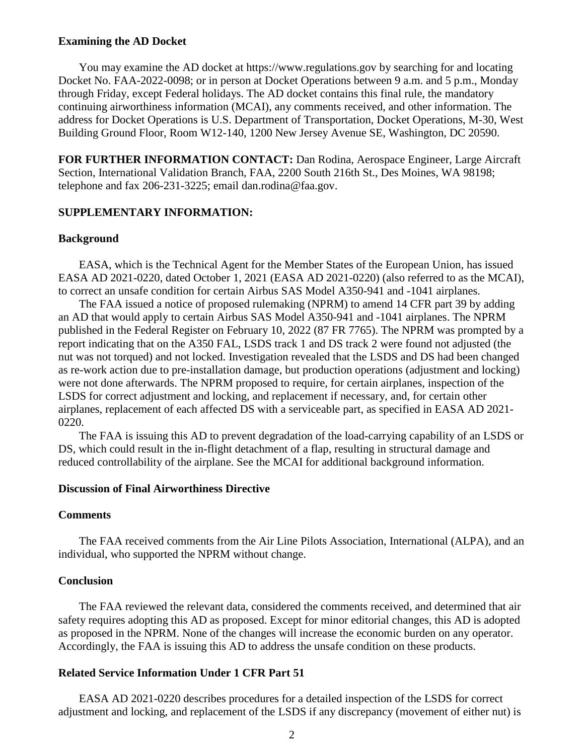### **Examining the AD Docket**

You may examine the AD docket at https://www.regulations.gov by searching for and locating Docket No. FAA-2022-0098; or in person at Docket Operations between 9 a.m. and 5 p.m., Monday through Friday, except Federal holidays. The AD docket contains this final rule, the mandatory continuing airworthiness information (MCAI), any comments received, and other information. The address for Docket Operations is U.S. Department of Transportation, Docket Operations, M-30, West Building Ground Floor, Room W12-140, 1200 New Jersey Avenue SE, Washington, DC 20590.

**FOR FURTHER INFORMATION CONTACT:** Dan Rodina, Aerospace Engineer, Large Aircraft Section, International Validation Branch, FAA, 2200 South 216th St., Des Moines, WA 98198; telephone and fax 206-231-3225; email dan.rodina@faa.gov.

### **SUPPLEMENTARY INFORMATION:**

### **Background**

EASA, which is the Technical Agent for the Member States of the European Union, has issued EASA AD 2021-0220, dated October 1, 2021 (EASA AD 2021-0220) (also referred to as the MCAI), to correct an unsafe condition for certain Airbus SAS Model A350-941 and -1041 airplanes.

The FAA issued a notice of proposed rulemaking (NPRM) to amend 14 CFR part 39 by adding an AD that would apply to certain Airbus SAS Model A350-941 and -1041 airplanes. The NPRM published in the Federal Register on February 10, 2022 (87 FR 7765). The NPRM was prompted by a report indicating that on the A350 FAL, LSDS track 1 and DS track 2 were found not adjusted (the nut was not torqued) and not locked. Investigation revealed that the LSDS and DS had been changed as re-work action due to pre-installation damage, but production operations (adjustment and locking) were not done afterwards. The NPRM proposed to require, for certain airplanes, inspection of the LSDS for correct adjustment and locking, and replacement if necessary, and, for certain other airplanes, replacement of each affected DS with a serviceable part, as specified in EASA AD 2021- 0220.

The FAA is issuing this AD to prevent degradation of the load-carrying capability of an LSDS or DS, which could result in the in-flight detachment of a flap, resulting in structural damage and reduced controllability of the airplane. See the MCAI for additional background information.

### **Discussion of Final Airworthiness Directive**

### **Comments**

The FAA received comments from the Air Line Pilots Association, International (ALPA), and an individual, who supported the NPRM without change.

### **Conclusion**

The FAA reviewed the relevant data, considered the comments received, and determined that air safety requires adopting this AD as proposed. Except for minor editorial changes, this AD is adopted as proposed in the NPRM. None of the changes will increase the economic burden on any operator. Accordingly, the FAA is issuing this AD to address the unsafe condition on these products.

### **Related Service Information Under 1 CFR Part 51**

EASA AD 2021-0220 describes procedures for a detailed inspection of the LSDS for correct adjustment and locking, and replacement of the LSDS if any discrepancy (movement of either nut) is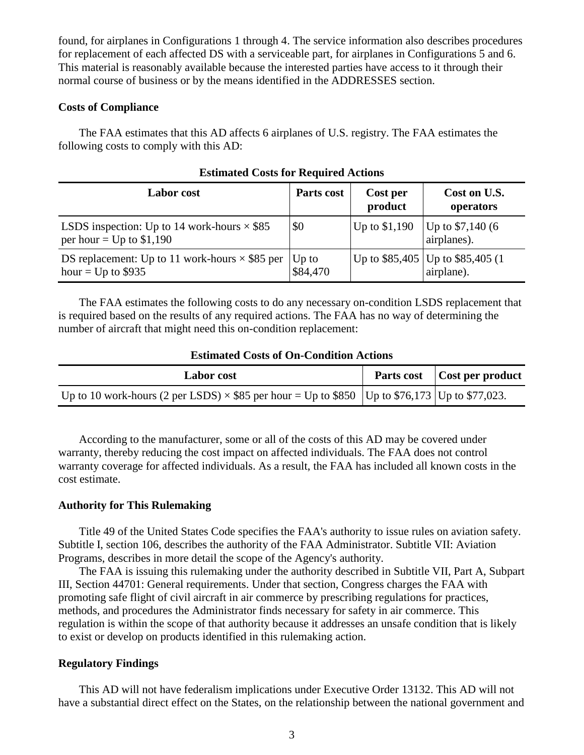found, for airplanes in Configurations 1 through 4. The service information also describes procedures for replacement of each affected DS with a serviceable part, for airplanes in Configurations 5 and 6. This material is reasonably available because the interested parties have access to it through their normal course of business or by the means identified in the ADDRESSES section.

### **Costs of Compliance**

The FAA estimates that this AD affects 6 airplanes of U.S. registry. The FAA estimates the following costs to comply with this AD:

| <b>Labor</b> cost                                                                | Parts cost          | Cost per<br>product | Cost on U.S.<br>operators                         |
|----------------------------------------------------------------------------------|---------------------|---------------------|---------------------------------------------------|
| LSDS inspection: Up to 14 work-hours $\times$ \$85<br>per hour = $Up$ to \$1,190 | \$0                 | Up to \$1,190       | Up to $$7,140(6)$<br>airplanes).                  |
| DS replacement: Up to 11 work-hours $\times$ \$85 per<br>hour = $Up$ to \$935    | $Up$ to<br>\$84,470 |                     | Up to \$85,405   Up to \$85,405 (1)<br>airplane). |

# **Estimated Costs for Required Actions**

The FAA estimates the following costs to do any necessary on-condition LSDS replacement that is required based on the results of any required actions. The FAA has no way of determining the number of aircraft that might need this on-condition replacement:

#### **Estimated Costs of On-Condition Actions**

| Labor cost                                                                                               | Parts cost Cost per product |
|----------------------------------------------------------------------------------------------------------|-----------------------------|
| Up to 10 work-hours (2 per LSDS) $\times$ \$85 per hour = Up to \$850   Up to \$76,173   Up to \$77,023. |                             |

According to the manufacturer, some or all of the costs of this AD may be covered under warranty, thereby reducing the cost impact on affected individuals. The FAA does not control warranty coverage for affected individuals. As a result, the FAA has included all known costs in the cost estimate.

### **Authority for This Rulemaking**

Title 49 of the United States Code specifies the FAA's authority to issue rules on aviation safety. Subtitle I, section 106, describes the authority of the FAA Administrator. Subtitle VII: Aviation Programs, describes in more detail the scope of the Agency's authority.

The FAA is issuing this rulemaking under the authority described in Subtitle VII, Part A, Subpart III, Section 44701: General requirements. Under that section, Congress charges the FAA with promoting safe flight of civil aircraft in air commerce by prescribing regulations for practices, methods, and procedures the Administrator finds necessary for safety in air commerce. This regulation is within the scope of that authority because it addresses an unsafe condition that is likely to exist or develop on products identified in this rulemaking action.

### **Regulatory Findings**

This AD will not have federalism implications under Executive Order 13132. This AD will not have a substantial direct effect on the States, on the relationship between the national government and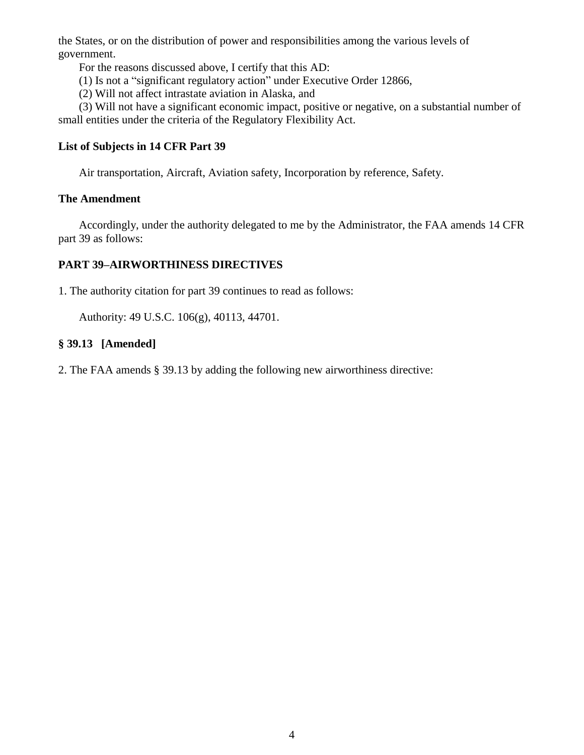the States, or on the distribution of power and responsibilities among the various levels of government.

For the reasons discussed above, I certify that this AD:

- (1) Is not a "significant regulatory action" under Executive Order 12866,
- (2) Will not affect intrastate aviation in Alaska, and

(3) Will not have a significant economic impact, positive or negative, on a substantial number of small entities under the criteria of the Regulatory Flexibility Act.

# **List of Subjects in 14 CFR Part 39**

Air transportation, Aircraft, Aviation safety, Incorporation by reference, Safety.

# **The Amendment**

Accordingly, under the authority delegated to me by the Administrator, the FAA amends 14 CFR part 39 as follows:

# **PART 39–AIRWORTHINESS DIRECTIVES**

1. The authority citation for part 39 continues to read as follows:

Authority: 49 U.S.C. 106(g), 40113, 44701.

# **§ 39.13 [Amended]**

2. The FAA amends § 39.13 by adding the following new airworthiness directive: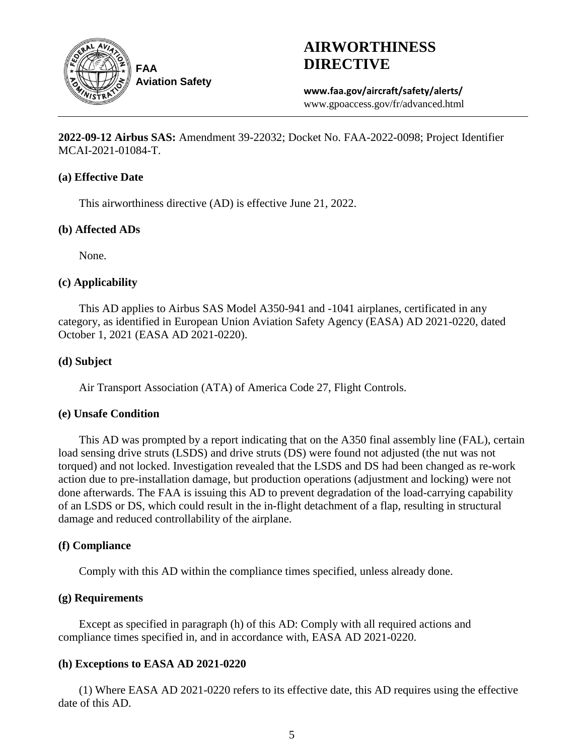

# **AIRWORTHINESS DIRECTIVE**

**www.faa.gov/aircraft/safety/alerts/** www.gpoaccess.gov/fr/advanced.html

**2022-09-12 Airbus SAS:** Amendment 39-22032; Docket No. FAA-2022-0098; Project Identifier MCAI-2021-01084-T.

### **(a) Effective Date**

This airworthiness directive (AD) is effective June 21, 2022.

# **(b) Affected ADs**

None.

# **(c) Applicability**

This AD applies to Airbus SAS Model A350-941 and -1041 airplanes, certificated in any category, as identified in European Union Aviation Safety Agency (EASA) AD 2021-0220, dated October 1, 2021 (EASA AD 2021-0220).

### **(d) Subject**

Air Transport Association (ATA) of America Code 27, Flight Controls.

# **(e) Unsafe Condition**

This AD was prompted by a report indicating that on the A350 final assembly line (FAL), certain load sensing drive struts (LSDS) and drive struts (DS) were found not adjusted (the nut was not torqued) and not locked. Investigation revealed that the LSDS and DS had been changed as re-work action due to pre-installation damage, but production operations (adjustment and locking) were not done afterwards. The FAA is issuing this AD to prevent degradation of the load-carrying capability of an LSDS or DS, which could result in the in-flight detachment of a flap, resulting in structural damage and reduced controllability of the airplane.

# **(f) Compliance**

Comply with this AD within the compliance times specified, unless already done.

# **(g) Requirements**

Except as specified in paragraph (h) of this AD: Comply with all required actions and compliance times specified in, and in accordance with, EASA AD 2021-0220.

# **(h) Exceptions to EASA AD 2021-0220**

(1) Where EASA AD 2021-0220 refers to its effective date, this AD requires using the effective date of this AD.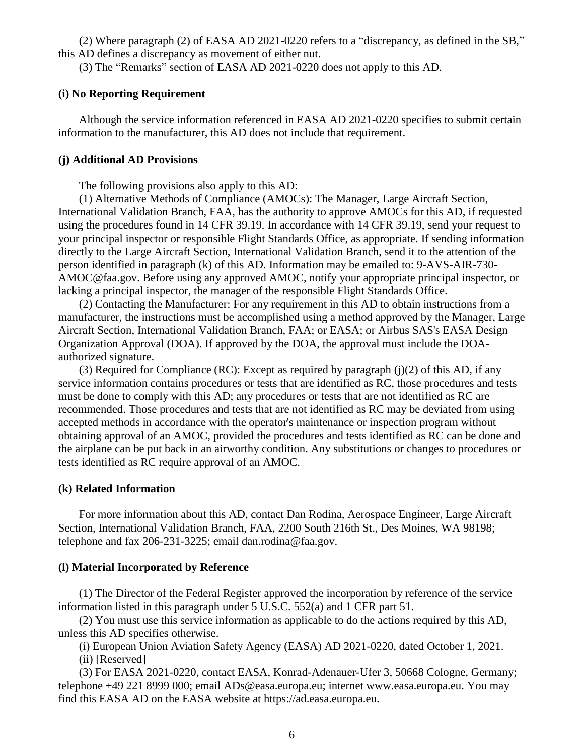(2) Where paragraph (2) of EASA AD 2021-0220 refers to a "discrepancy, as defined in the SB," this AD defines a discrepancy as movement of either nut.

(3) The "Remarks" section of EASA AD 2021-0220 does not apply to this AD.

### **(i) No Reporting Requirement**

Although the service information referenced in EASA AD 2021-0220 specifies to submit certain information to the manufacturer, this AD does not include that requirement.

#### **(j) Additional AD Provisions**

The following provisions also apply to this AD:

(1) Alternative Methods of Compliance (AMOCs): The Manager, Large Aircraft Section, International Validation Branch, FAA, has the authority to approve AMOCs for this AD, if requested using the procedures found in 14 CFR 39.19. In accordance with 14 CFR 39.19, send your request to your principal inspector or responsible Flight Standards Office, as appropriate. If sending information directly to the Large Aircraft Section, International Validation Branch, send it to the attention of the person identified in paragraph (k) of this AD. Information may be emailed to: 9-AVS-AIR-730- AMOC@faa.gov. Before using any approved AMOC, notify your appropriate principal inspector, or lacking a principal inspector, the manager of the responsible Flight Standards Office.

(2) Contacting the Manufacturer: For any requirement in this AD to obtain instructions from a manufacturer, the instructions must be accomplished using a method approved by the Manager, Large Aircraft Section, International Validation Branch, FAA; or EASA; or Airbus SAS's EASA Design Organization Approval (DOA). If approved by the DOA, the approval must include the DOAauthorized signature.

(3) Required for Compliance (RC): Except as required by paragraph (j)(2) of this AD, if any service information contains procedures or tests that are identified as RC, those procedures and tests must be done to comply with this AD; any procedures or tests that are not identified as RC are recommended. Those procedures and tests that are not identified as RC may be deviated from using accepted methods in accordance with the operator's maintenance or inspection program without obtaining approval of an AMOC, provided the procedures and tests identified as RC can be done and the airplane can be put back in an airworthy condition. Any substitutions or changes to procedures or tests identified as RC require approval of an AMOC.

### **(k) Related Information**

For more information about this AD, contact Dan Rodina, Aerospace Engineer, Large Aircraft Section, International Validation Branch, FAA, 2200 South 216th St., Des Moines, WA 98198; telephone and fax 206-231-3225; email dan.rodina@faa.gov.

#### **(l) Material Incorporated by Reference**

(1) The Director of the Federal Register approved the incorporation by reference of the service information listed in this paragraph under 5 U.S.C. 552(a) and 1 CFR part 51.

(2) You must use this service information as applicable to do the actions required by this AD, unless this AD specifies otherwise.

(i) European Union Aviation Safety Agency (EASA) AD 2021-0220, dated October 1, 2021.

(ii) [Reserved]

(3) For EASA 2021-0220, contact EASA, Konrad-Adenauer-Ufer 3, 50668 Cologne, Germany; telephone +49 221 8999 000; email ADs@easa.europa.eu; internet www.easa.europa.eu. You may find this EASA AD on the EASA website at https://ad.easa.europa.eu.